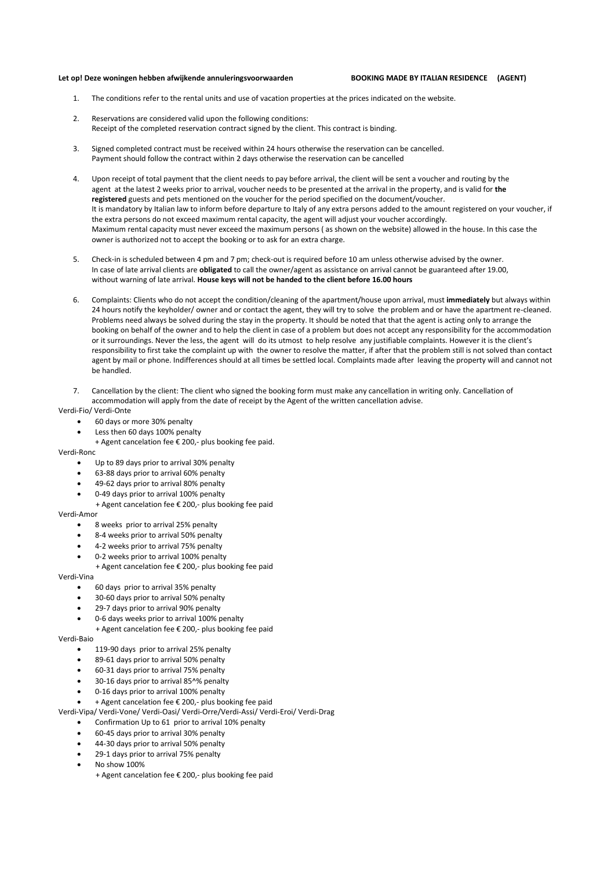## **Let op! Deze woningen hebben afwijkende annuleringsvoorwaarden BOOKING MADE BY ITALIAN RESIDENCE (AGENT)**

- The conditions refer to the rental units and use of vacation properties at the prices indicated on the website.
- 2. Reservations are considered valid upon the following conditions: Receipt of the completed reservation contract signed by the client. This contract is binding.
- 3. Signed completed contract must be received within 24 hours otherwise the reservation can be cancelled. Payment should follow the contract within 2 days otherwise the reservation can be cancelled
- 4. Upon receipt of total payment that the client needs to pay before arrival, the client will be sent a voucher and routing by the agent at the latest 2 weeks prior to arrival, voucher needs to be presented at the arrival in the property, and is valid for **the registered** guests and pets mentioned on the voucher for the period specified on the document/voucher. It is mandatory by Italian law to inform before departure to Italy of any extra persons added to the amount registered on your voucher, if the extra persons do not exceed maximum rental capacity, the agent will adjust your voucher accordingly. Maximum rental capacity must never exceed the maximum persons ( as shown on the website) allowed in the house. In this case the owner is authorized not to accept the booking or to ask for an extra charge.
- 5. Check-in is scheduled between 4 pm and 7 pm; check-out is required before 10 am unless otherwise advised by the owner. In case of late arrival clients are **obligated** to call the owner/agent as assistance on arrival cannot be guaranteed after 19.00, without warning of late arrival. **House keys will not be handed to the client before 16.00 hours**
- 6. Complaints: Clients who do not accept the condition/cleaning of the apartment/house upon arrival, must **immediately** but always within 24 hours notify the keyholder/ owner and or contact the agent, they will try to solve the problem and or have the apartment re-cleaned. Problems need always be solved during the stay in the property. It should be noted that that the agent is acting only to arrange the booking on behalf of the owner and to help the client in case of a problem but does not accept any responsibility for the accommodation or it surroundings. Never the less, the agent will do its utmost to help resolve any justifiable complaints. However it is the client's responsibility to first take the complaint up with the owner to resolve the matter, if after that the problem still is not solved than contact agent by mail or phone. Indifferences should at all times be settled local. Complaints made after leaving the property will and cannot not be handled.
- 7. Cancellation by the client: The client who signed the booking form must make any cancellation in writing only. Cancellation of accommodation will apply from the date of receipt by the Agent of the written cancellation advise.

Verdi-Fio/ Verdi-Onte

- 60 days or more 30% penalty
- Less then 60 days 100% penalty
- + Agent cancelation fee € 200,- plus booking fee paid.

Verdi-Ronc

- Up to 89 days prior to arrival 30% penalty
- 63-88 days prior to arrival 60% penalty
- 49-62 days prior to arrival 80% penalty
- 0-49 days prior to arrival 100% penalty
- + Agent cancelation fee € 200,- plus booking fee paid

Verdi-Amor

- 8 weeks prior to arrival 25% penalty
- 8-4 weeks prior to arrival 50% penalty
- 4-2 weeks prior to arrival 75% penalty
- 0-2 weeks prior to arrival 100% penalty
	- + Agent cancelation fee € 200,- plus booking fee paid

Verdi-Vina

- 60 days prior to arrival 35% penalty
- 30-60 days prior to arrival 50% penalty
- 29-7 days prior to arrival 90% penalty
- 0-6 days weeks prior to arrival 100% penalty
- + Agent cancelation fee € 200,- plus booking fee paid

Verdi-Baio

- 119-90 days prior to arrival 25% penalty
- 89-61 days prior to arrival 50% penalty
- 60-31 days prior to arrival 75% penalty
- 30-16 days prior to arrival 85^% penalty
- 0-16 days prior to arrival 100% penalty
- + Agent cancelation fee € 200,- plus booking fee paid

Verdi-Vipa/ Verdi-Vone/ Verdi-Oasi/ Verdi-Orre/Verdi-Assi/ Verdi-Eroi/ Verdi-Drag

- Confirmation Up to 61 prior to arrival 10% penalty
- 60-45 days prior to arrival 30% penalty
- 44-30 days prior to arrival 50% penalty
- 29-1 days prior to arrival 75% penalty
- No show 100%
	- + Agent cancelation fee € 200,- plus booking fee paid